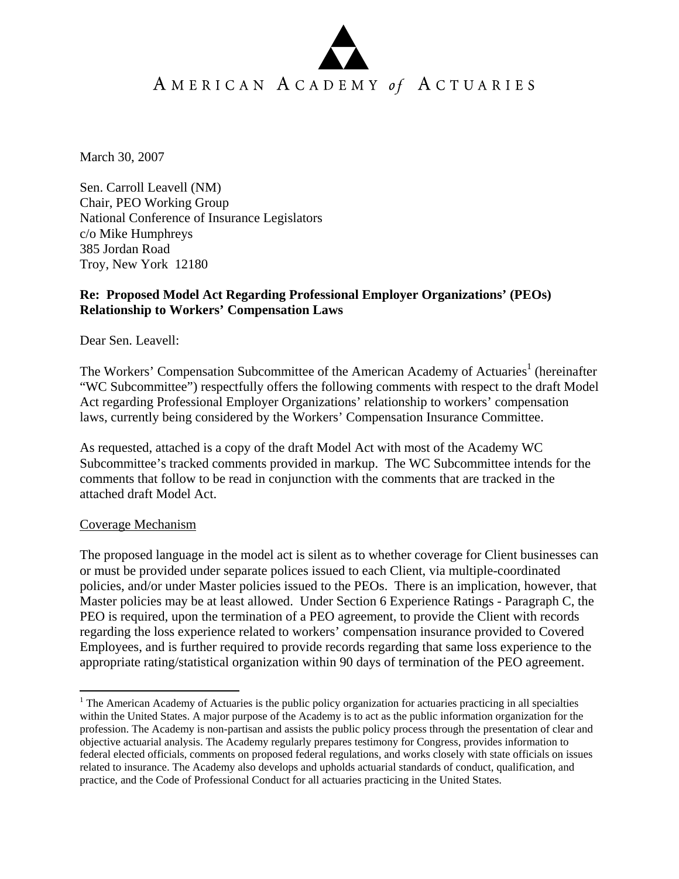# AMERICAN ACADEMY of ACTUARIES

March 30, 2007

Sen. Carroll Leavell (NM) Chair, PEO Working Group National Conference of Insurance Legislators c/o Mike Humphreys 385 Jordan Road Troy, New York 12180

#### **Re: Proposed Model Act Regarding Professional Employer Organizations' (PEOs) Relationship to Workers' Compensation Laws**

Dear Sen. Leavell:

The Workers' Compensation Subcommittee of the American Academy of Actuaries<sup>1</sup> (hereinafter "WC Subcommittee") respectfully offers the following comments with respect to the draft Model Act regarding Professional Employer Organizations' relationship to workers' compensation laws, currently being considered by the Workers' Compensation Insurance Committee.

As requested, attached is a copy of the draft Model Act with most of the Academy WC Subcommittee's tracked comments provided in markup. The WC Subcommittee intends for the comments that follow to be read in conjunction with the comments that are tracked in the attached draft Model Act.

#### Coverage Mechanism

 $\overline{a}$ 

The proposed language in the model act is silent as to whether coverage for Client businesses can or must be provided under separate polices issued to each Client, via multiple-coordinated policies, and/or under Master policies issued to the PEOs. There is an implication, however, that Master policies may be at least allowed. Under Section 6 Experience Ratings - Paragraph C, the PEO is required, upon the termination of a PEO agreement, to provide the Client with records regarding the loss experience related to workers' compensation insurance provided to Covered Employees, and is further required to provide records regarding that same loss experience to the appropriate rating/statistical organization within 90 days of termination of the PEO agreement.

<sup>&</sup>lt;sup>1</sup> The American Academy of Actuaries is the public policy organization for actuaries practicing in all specialties within the United States. A major purpose of the Academy is to act as the public information organization for the profession. The Academy is non-partisan and assists the public policy process through the presentation of clear and objective actuarial analysis. The Academy regularly prepares testimony for Congress, provides information to federal elected officials, comments on proposed federal regulations, and works closely with state officials on issues related to insurance. The Academy also develops and upholds actuarial standards of conduct, qualification, and practice, and the Code of Professional Conduct for all actuaries practicing in the United States.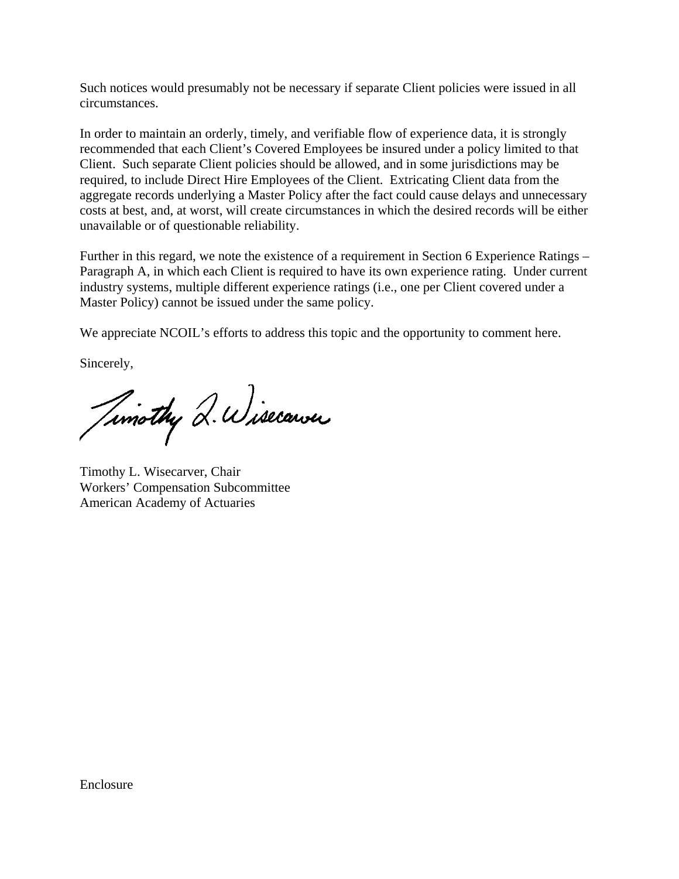Such notices would presumably not be necessary if separate Client policies were issued in all circumstances.

In order to maintain an orderly, timely, and verifiable flow of experience data, it is strongly recommended that each Client's Covered Employees be insured under a policy limited to that Client. Such separate Client policies should be allowed, and in some jurisdictions may be required, to include Direct Hire Employees of the Client. Extricating Client data from the aggregate records underlying a Master Policy after the fact could cause delays and unnecessary costs at best, and, at worst, will create circumstances in which the desired records will be either unavailable or of questionable reliability.

Further in this regard, we note the existence of a requirement in Section 6 Experience Ratings – Paragraph A, in which each Client is required to have its own experience rating. Under current industry systems, multiple different experience ratings (i.e., one per Client covered under a Master Policy) cannot be issued under the same policy.

We appreciate NCOIL's efforts to address this topic and the opportunity to comment here.

Sincerely,

Timothy Q. Wisecarver

Timothy L. Wisecarver, Chair Workers' Compensation Subcommittee American Academy of Actuaries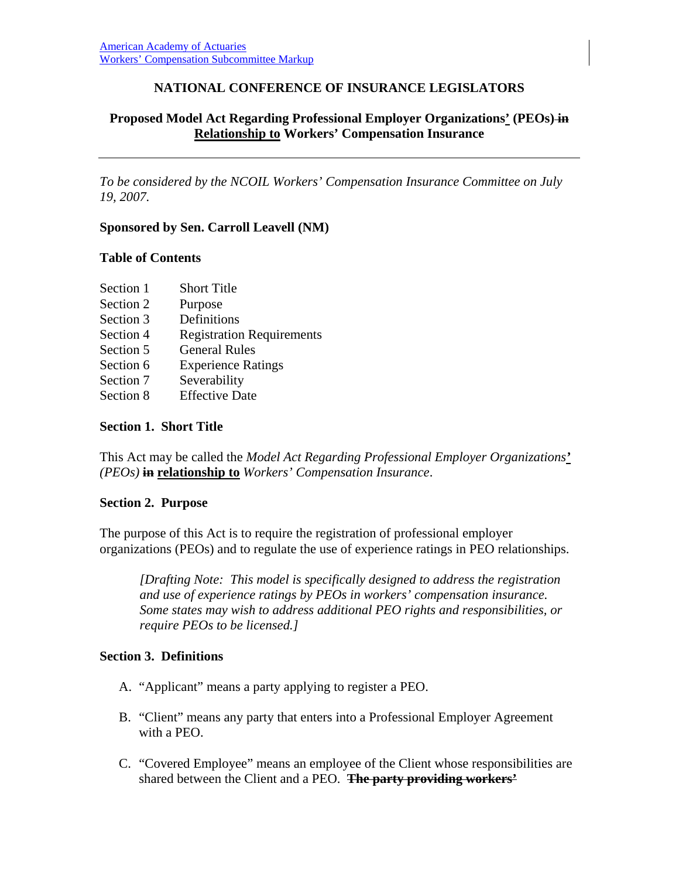## **NATIONAL CONFERENCE OF INSURANCE LEGISLATORS**

## **Proposed Model Act Regarding Professional Employer Organizations' (PEOs) in Relationship to Workers' Compensation Insurance**

*To be considered by the NCOIL Workers' Compensation Insurance Committee on July 19, 2007.* 

#### **Sponsored by Sen. Carroll Leavell (NM)**

#### **Table of Contents**

| Section 1 | <b>Short Title</b>               |
|-----------|----------------------------------|
| Section 2 | Purpose                          |
| Section 3 | Definitions                      |
| Section 4 | <b>Registration Requirements</b> |
| Section 5 | <b>General Rules</b>             |
| Section 6 | <b>Experience Ratings</b>        |
| Section 7 | Severability                     |
| Section 8 | <b>Effective Date</b>            |

#### **Section 1. Short Title**

This Act may be called the *Model Act Regarding Professional Employer Organizations' (PEOs)* **in relationship to** *Workers' Compensation Insurance*.

#### **Section 2. Purpose**

The purpose of this Act is to require the registration of professional employer organizations (PEOs) and to regulate the use of experience ratings in PEO relationships.

*[Drafting Note: This model is specifically designed to address the registration and use of experience ratings by PEOs in workers' compensation insurance. Some states may wish to address additional PEO rights and responsibilities, or require PEOs to be licensed.]* 

## **Section 3. Definitions**

- A. "Applicant" means a party applying to register a PEO.
- B. "Client" means any party that enters into a Professional Employer Agreement with a PEO.
- C. "Covered Employee" means an employee of the Client whose responsibilities are shared between the Client and a PEO. **The party providing workers'**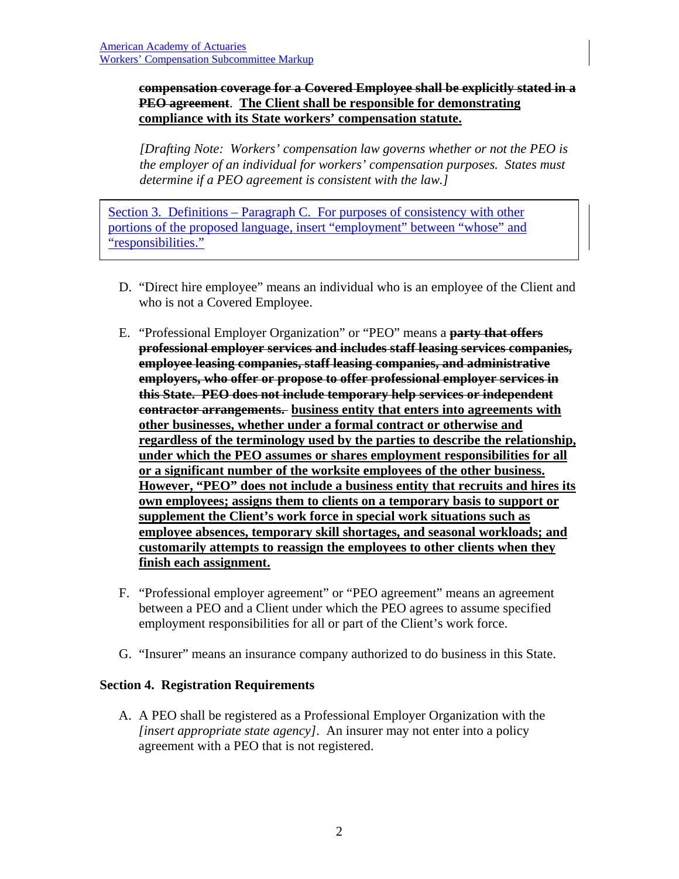#### **compensation coverage for a Covered Employee shall be explicitly stated in a PEO agreement**. **The Client shall be responsible for demonstrating compliance with its State workers' compensation statute.**

*[Drafting Note: Workers' compensation law governs whether or not the PEO is the employer of an individual for workers' compensation purposes. States must determine if a PEO agreement is consistent with the law.]* 

Section 3. Definitions – Paragraph C. For purposes of consistency with other portions of the proposed language, insert "employment" between "whose" and "responsibilities."

- D. "Direct hire employee" means an individual who is an employee of the Client and who is not a Covered Employee.
- E. "Professional Employer Organization" or "PEO" means a **party that offers professional employer services and includes staff leasing services companies, employee leasing companies, staff leasing companies, and administrative employers, who offer or propose to offer professional employer services in this State. PEO does not include temporary help services or independent contractor arrangements. business entity that enters into agreements with other businesses, whether under a formal contract or otherwise and regardless of the terminology used by the parties to describe the relationship, under which the PEO assumes or shares employment responsibilities for all or a significant number of the worksite employees of the other business. However, "PEO" does not include a business entity that recruits and hires its own employees; assigns them to clients on a temporary basis to support or supplement the Client's work force in special work situations such as employee absences, temporary skill shortages, and seasonal workloads; and customarily attempts to reassign the employees to other clients when they finish each assignment.**
- F. "Professional employer agreement" or "PEO agreement" means an agreement between a PEO and a Client under which the PEO agrees to assume specified employment responsibilities for all or part of the Client's work force.
- G. "Insurer" means an insurance company authorized to do business in this State.

## **Section 4. Registration Requirements**

A. A PEO shall be registered as a Professional Employer Organization with the *[insert appropriate state agency]*. An insurer may not enter into a policy agreement with a PEO that is not registered.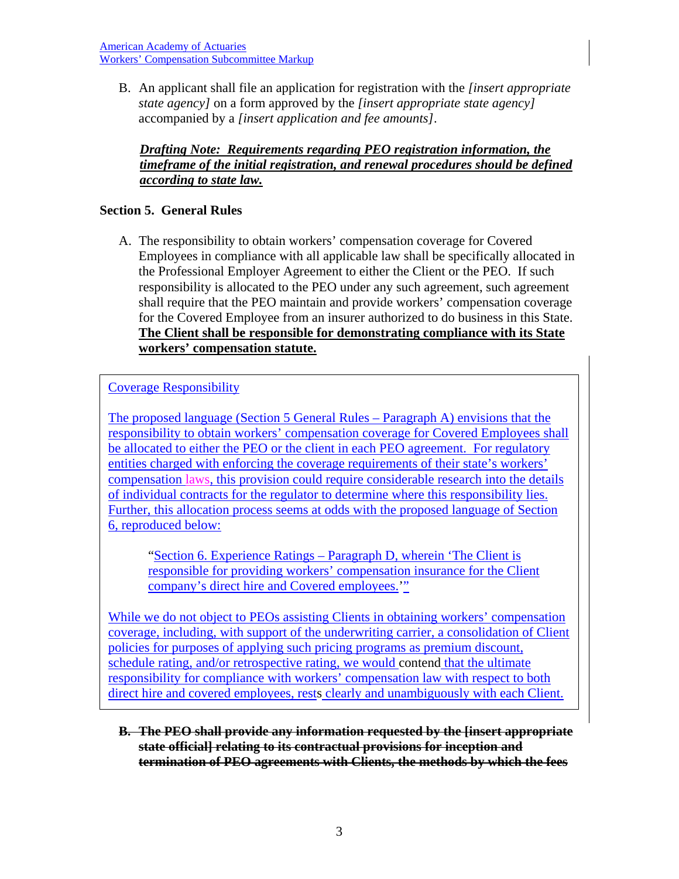American Academy of Actuaries Workers' Compensation Subcommittee Markup

B. An applicant shall file an application for registration with the *[insert appropriate state agency]* on a form approved by the *[insert appropriate state agency]* accompanied by a *[insert application and fee amounts]*.

## *Drafting Note: Requirements regarding PEO registration information, the timeframe of the initial registration, and renewal procedures should be defined according to state law.*

## **Section 5. General Rules**

A. The responsibility to obtain workers' compensation coverage for Covered Employees in compliance with all applicable law shall be specifically allocated in the Professional Employer Agreement to either the Client or the PEO. If such responsibility is allocated to the PEO under any such agreement, such agreement shall require that the PEO maintain and provide workers' compensation coverage for the Covered Employee from an insurer authorized to do business in this State. **The Client shall be responsible for demonstrating compliance with its State workers' compensation statute.**

Coverage Responsibility

The proposed language (Section 5 General Rules – Paragraph A) envisions that the responsibility to obtain workers' compensation coverage for Covered Employees shall be allocated to either the PEO or the client in each PEO agreement. For regulatory entities charged with enforcing the coverage requirements of their state's workers' compensation laws, this provision could require considerable research into the details of individual contracts for the regulator to determine where this responsibility lies. Further, this allocation process seems at odds with the proposed language of Section 6, reproduced below:

"Section 6. Experience Ratings – Paragraph D, wherein 'The Client is responsible for providing workers' compensation insurance for the Client company's direct hire and Covered employees.'"

While we do not object to PEOs assisting Clients in obtaining workers' compensation coverage, including, with support of the underwriting carrier, a consolidation of Client policies for purposes of applying such pricing programs as premium discount, schedule rating, and/or retrospective rating, we would contend that the ultimate responsibility for compliance with workers' compensation law with respect to both direct hire and covered employees, rests clearly and unambiguously with each Client.

**B. The PEO shall provide any information requested by the [insert appropriate state official] relating to its contractual provisions for inception and termination of PEO agreements with Clients, the methods by which the fees**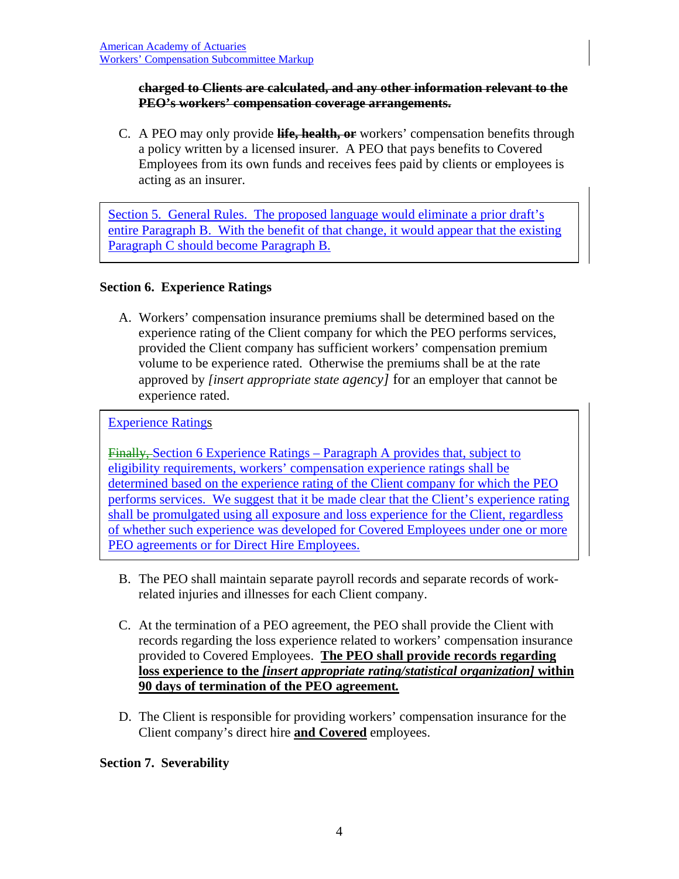#### **charged to Clients are calculated, and any other information relevant to the PEO's workers' compensation coverage arrangements.**

C. A PEO may only provide **life, health, or** workers' compensation benefits through a policy written by a licensed insurer. A PEO that pays benefits to Covered Employees from its own funds and receives fees paid by clients or employees is acting as an insurer.

Section 5. General Rules. The proposed language would eliminate a prior draft's entire Paragraph B. With the benefit of that change, it would appear that the existing Paragraph C should become Paragraph B.

## **Section 6. Experience Ratings**

A. Workers' compensation insurance premiums shall be determined based on the experience rating of the Client company for which the PEO performs services, provided the Client company has sufficient workers' compensation premium volume to be experience rated. Otherwise the premiums shall be at the rate approved by *[insert appropriate state agency]* for an employer that cannot be experience rated.

Experience Ratings

Finally, Section 6 Experience Ratings – Paragraph A provides that, subject to eligibility requirements, workers' compensation experience ratings shall be determined based on the experience rating of the Client company for which the PEO performs services. We suggest that it be made clear that the Client's experience rating shall be promulgated using all exposure and loss experience for the Client, regardless of whether such experience was developed for Covered Employees under one or more PEO agreements or for Direct Hire Employees.

- B. The PEO shall maintain separate payroll records and separate records of workrelated injuries and illnesses for each Client company.
- C. At the termination of a PEO agreement, the PEO shall provide the Client with records regarding the loss experience related to workers' compensation insurance provided to Covered Employees. **The PEO shall provide records regarding loss experience to the** *[insert appropriate rating/statistical organization]* **within 90 days of termination of the PEO agreement***.*
- D. The Client is responsible for providing workers' compensation insurance for the Client company's direct hire **and Covered** employees.

## **Section 7. Severability**